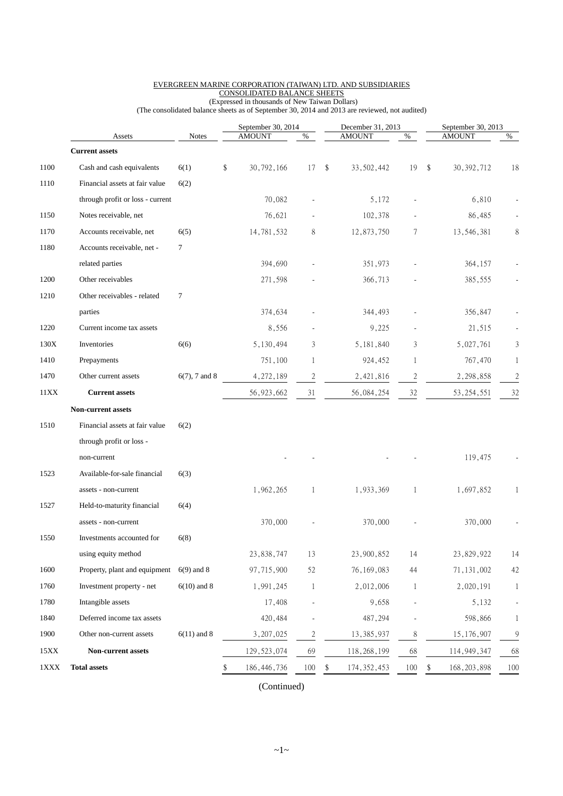|              | Assets                           | <b>Notes</b>     | September 30, 2014<br><b>AMOUNT</b><br>% |                |    | December 31, 2013<br><b>AMOUNT</b> | $\%$ | September 30, 2013<br><b>AMOUNT</b><br>$\%$ |                |  |
|--------------|----------------------------------|------------------|------------------------------------------|----------------|----|------------------------------------|------|---------------------------------------------|----------------|--|
|              | <b>Current assets</b>            |                  |                                          |                |    |                                    |      |                                             |                |  |
| 1100         | Cash and cash equivalents        | 6(1)             | \$<br>30,792,166                         | 17             | \$ | 33, 502, 442                       | 19   | \$<br>30, 392, 712                          | 18             |  |
| 1110         | Financial assets at fair value   | 6(2)             |                                          |                |    |                                    |      |                                             |                |  |
|              | through profit or loss - current |                  | 70,082                                   |                |    | 5,172                              |      | 6,810                                       |                |  |
| 1150         | Notes receivable, net            |                  | 76,621                                   |                |    | 102,378                            |      | 86,485                                      |                |  |
| 1170         | Accounts receivable, net         | 6(5)             | 14,781,532                               | 8              |    | 12,873,750                         | 7    | 13,546,381                                  | 8              |  |
| 1180         | Accounts receivable, net -       | $\tau$           |                                          |                |    |                                    |      |                                             |                |  |
|              | related parties                  |                  | 394,690                                  |                |    | 351,973                            |      | 364,157                                     |                |  |
| 1200         | Other receivables                |                  | 271,598                                  |                |    | 366,713                            |      | 385,555                                     |                |  |
| 1210         | Other receivables - related      | $\tau$           |                                          |                |    |                                    |      |                                             |                |  |
|              | parties                          |                  | 374,634                                  |                |    | 344,493                            |      | 356,847                                     |                |  |
| 1220         | Current income tax assets        |                  | 8,556                                    |                |    | 9,225                              |      | 21,515                                      |                |  |
| 130X         | Inventories                      | 6(6)             | 5,130,494                                | 3              |    | 5, 181, 840                        | 3    | 5,027,761                                   | 3              |  |
| 1410         | Prepayments                      |                  | 751,100                                  | 1              |    | 924,452                            | 1    | 767,470                                     | 1              |  |
| 1470         | Other current assets             | $6(7)$ , 7 and 8 | 4,272,189                                | $\overline{c}$ |    | 2,421,816                          | 2    | 2, 298, 858                                 | $\overline{c}$ |  |
| 11XX         | <b>Current assets</b>            |                  | 56, 923, 662                             | 31             |    | 56,084,254                         | 32   | 53, 254, 551                                | 32             |  |
|              | <b>Non-current assets</b>        |                  |                                          |                |    |                                    |      |                                             |                |  |
| 1510         | Financial assets at fair value   | 6(2)             |                                          |                |    |                                    |      |                                             |                |  |
|              | through profit or loss -         |                  |                                          |                |    |                                    |      |                                             |                |  |
|              | non-current                      |                  |                                          |                |    |                                    |      | 119,475                                     |                |  |
| 1523         | Available-for-sale financial     | 6(3)             |                                          |                |    |                                    |      |                                             |                |  |
|              | assets - non-current             |                  | 1,962,265                                | 1              |    | 1,933,369                          | 1    | 1,697,852                                   | 1              |  |
| 1527         | Held-to-maturity financial       | 6(4)             |                                          |                |    |                                    |      |                                             |                |  |
|              | assets - non-current             |                  | 370,000                                  |                |    | 370,000                            |      | 370,000                                     |                |  |
| 1550         | Investments accounted for        | 6(8)             |                                          |                |    |                                    |      |                                             |                |  |
|              | using equity method              |                  | 23,838,747                               | 13             |    | 23,900,852                         | 14   | 23,829,922                                  | 14             |  |
| $1600\,$     | Property, plant and equipment    | $6(9)$ and 8     | 97,715,900                               | 52             |    | 76, 169, 083                       | 44   | 71, 131, 002                                | 42             |  |
| 1760         | Investment property - net        | $6(10)$ and 8    | 1,991,245                                | 1              |    | 2,012,006                          | 1    | 2,020,191                                   | 1              |  |
| 1780         | Intangible assets                |                  | 17,408                                   |                |    | 9,658                              |      | 5,132                                       |                |  |
| 1840         | Deferred income tax assets       |                  | 420, 484                                 |                |    | 487,294                            |      | 598,866                                     |                |  |
| 1900         | Other non-current assets         | $6(11)$ and 8    | 3, 207, 025                              | $\overline{c}$ |    | 13,385,937                         | 8    | 15, 176, 907                                | 9              |  |
| 15XX         | Non-current assets               |                  | 129, 523, 074                            | 69             |    | 118, 268, 199                      | 68   | 114, 949, 347                               | 68             |  |
| $1{\rm XXX}$ | <b>Total assets</b>              |                  | \$<br>186, 446, 736                      | 100            | \$ | 174, 352, 453                      | 100  | \$<br>168, 203, 898                         | 100            |  |

#### EVERGREEN MARINE CORPORATION (TAIWAN) LTD. AND SUBSIDIARIES CONSOLIDATED BALANCE SHEETS (Expressed in thousands of New Taiwan Dollars)

(The consolidated balance sheets as of September 30, 2014 and 2013 are reviewed, not audited)

(Continued)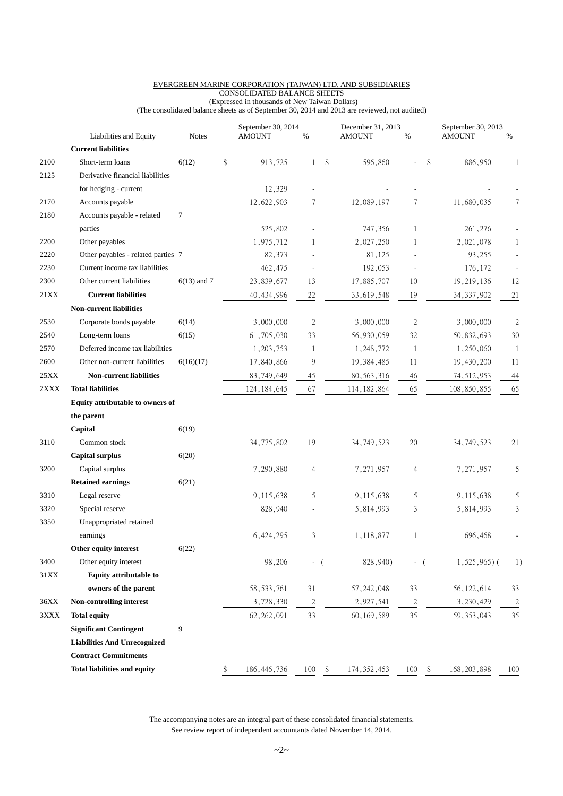## EVERGREEN MARINE CORPORATION (TAIWAN) LTD. AND SUBSIDIARIES CONSOLIDATED BALANCE SHEETS

 (Expressed in thousands of New Taiwan Dollars) (The consolidated balance sheets as of September 30, 2014 and 2013 are reviewed, not audited)

|      | Liabilities and Equity<br><b>Notes</b> |               | September 30, 2014<br><b>AMOUNT</b><br>$\%$ |                          |    | December 31, 2013<br><b>AMOUNT</b><br>$\%$ |                |    | September 30, 2013<br><b>AMOUNT</b><br>% |                |
|------|----------------------------------------|---------------|---------------------------------------------|--------------------------|----|--------------------------------------------|----------------|----|------------------------------------------|----------------|
|      | <b>Current liabilities</b>             |               |                                             |                          |    |                                            |                |    |                                          |                |
| 2100 | Short-term loans                       | 6(12)         | \$<br>913,725                               | 1                        | \$ | 596,860                                    |                | \$ | 886,950                                  | 1              |
| 2125 | Derivative financial liabilities       |               |                                             |                          |    |                                            |                |    |                                          |                |
|      | for hedging - current                  |               | 12,329                                      |                          |    |                                            |                |    |                                          |                |
| 2170 | Accounts payable                       |               | 12,622,903                                  | 7                        |    | 12,089,197                                 | 7              |    | 11,680,035                               | 7              |
| 2180 | Accounts payable - related             | 7             |                                             |                          |    |                                            |                |    |                                          |                |
|      | parties                                |               | 525,802                                     |                          |    | 747,356                                    | 1              |    | 261,276                                  |                |
| 2200 | Other payables                         |               | 1,975,712                                   | 1                        |    | 2,027,250                                  | 1              |    | 2,021,078                                | 1              |
| 2220 | Other payables - related parties 7     |               | 82,373                                      |                          |    | 81,125                                     |                |    | 93,255                                   |                |
| 2230 | Current income tax liabilities         |               | 462,475                                     | $\overline{a}$           |    | 192,053                                    |                |    | 176, 172                                 |                |
| 2300 | Other current liabilities              | $6(13)$ and 7 | 23,839,677                                  | 13                       |    | 17,885,707                                 | 10             |    | 19,219,136                               | 12             |
| 21XX | <b>Current liabilities</b>             |               | 40, 434, 996                                | $22\,$                   |    | 33,619,548                                 | 19             |    | 34, 337, 902                             | 21             |
|      | <b>Non-current liabilities</b>         |               |                                             |                          |    |                                            |                |    |                                          |                |
| 2530 | Corporate bonds payable                | 6(14)         | 3,000,000                                   | $\overline{2}$           |    | 3,000,000                                  | $\mathfrak{2}$ |    | 3,000,000                                | $\overline{2}$ |
| 2540 | Long-term loans                        | 6(15)         | 61,705,030                                  | 33                       |    | 56,930,059                                 | 32             |    | 50,832,693                               | 30             |
| 2570 | Deferred income tax liabilities        |               | 1,203,753                                   | 1                        |    | 1,248,772                                  | 1              |    | 1,250,060                                | 1              |
| 2600 | Other non-current liabilities          | 6(16)(17)     | 17,840,866                                  | 9                        |    | 19, 384, 485                               | 11             |    | 19,430,200                               | 11             |
| 25XX | <b>Non-current liabilities</b>         |               | 83,749,649                                  | 45                       |    | 80, 563, 316                               | 46             |    | 74, 512, 953                             | 44             |
| 2XXX | <b>Total liabilities</b>               |               | 124, 184, 645                               | 67                       |    | 114, 182, 864                              | 65             |    | 108,850,855                              | 65             |
|      | Equity attributable to owners of       |               |                                             |                          |    |                                            |                |    |                                          |                |
|      | the parent                             |               |                                             |                          |    |                                            |                |    |                                          |                |
|      | Capital                                | 6(19)         |                                             |                          |    |                                            |                |    |                                          |                |
| 3110 | Common stock                           |               | 34,775,802                                  | 19                       |    | 34,749,523                                 | 20             |    | 34, 749, 523                             | 21             |
|      | <b>Capital surplus</b>                 | 6(20)         |                                             |                          |    |                                            |                |    |                                          |                |
| 3200 | Capital surplus                        |               | 7,290,880                                   | $\overline{4}$           |    | 7,271,957                                  | 4              |    | 7,271,957                                | 5              |
|      | <b>Retained earnings</b>               | 6(21)         |                                             |                          |    |                                            |                |    |                                          |                |
| 3310 | Legal reserve                          |               | 9,115,638                                   | 5                        |    | 9,115,638                                  | 5              |    | 9,115,638                                | 5              |
| 3320 | Special reserve                        |               | 828,940                                     |                          |    | 5,814,993                                  | 3              |    | 5,814,993                                | 3              |
| 3350 | Unappropriated retained                |               |                                             |                          |    |                                            |                |    |                                          |                |
|      | earnings                               |               | 6,424,295                                   | 3                        |    | 1,118,877                                  | 1              |    | 696,468                                  |                |
|      | Other equity interest                  | 6(22)         |                                             |                          |    |                                            |                |    |                                          |                |
| 3400 | Other equity interest                  |               | 98,206                                      | $\overline{\phantom{a}}$ |    | 828,940)                                   |                |    | 1,525,965)                               | 1)             |
| 31XX | <b>Equity attributable to</b>          |               |                                             |                          |    |                                            |                |    |                                          |                |
|      | owners of the parent                   |               | 58, 533, 761                                | 31                       |    | 57, 242, 048                               | 33             |    | 56, 122, 614                             | 33             |
| 36XX | Non-controlling interest               |               | 3,728,330                                   | $\overline{2}$           |    | 2,927,541                                  | $\sqrt{2}$     |    | 3,230,429                                | $\overline{2}$ |
| 3XXX | <b>Total equity</b>                    |               | 62, 262, 091                                | 33                       |    | 60, 169, 589                               | 35             |    | 59, 353, 043                             | 35             |
|      | <b>Significant Contingent</b>          | 9             |                                             |                          |    |                                            |                |    |                                          |                |
|      | <b>Liabilities And Unrecognized</b>    |               |                                             |                          |    |                                            |                |    |                                          |                |
|      | <b>Contract Commitments</b>            |               |                                             |                          |    |                                            |                |    |                                          |                |
|      | <b>Total liabilities and equity</b>    |               | \$<br>186, 446, 736                         | 100                      | \$ | 174, 352, 453                              | 100            | \$ | 168, 203, 898                            | 100            |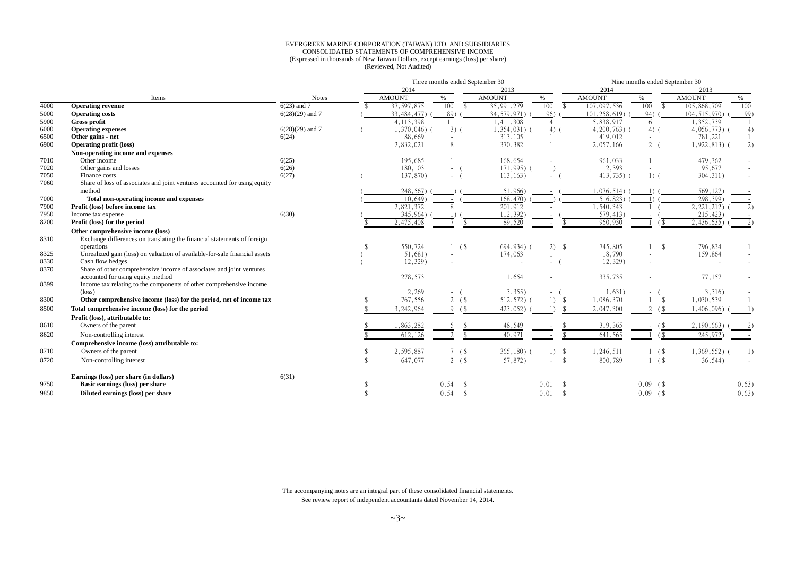### EVERGREEN MARINE CORPORATION (TAIWAN) LTD. AND SUBSIDIARIES

# CONSOLIDATED STATEMENTS OF COMPREHENSIVE INCOME

 (Expressed in thousands of New Taiwan Dollars, except earnings (loss) per share) (Reviewed, Not Audited)

|      |                                                                            |                   | Three months ended September 30 |               |                                                      |                |                    | Nine months ended September 30 |                                                         |                 |      |  |
|------|----------------------------------------------------------------------------|-------------------|---------------------------------|---------------|------------------------------------------------------|----------------|--------------------|--------------------------------|---------------------------------------------------------|-----------------|------|--|
|      |                                                                            |                   |                                 | 2014          |                                                      | 2013           |                    | 2014                           |                                                         | 2013            |      |  |
|      | Items                                                                      | <b>Notes</b>      |                                 | <b>AMOUNT</b> | %                                                    | <b>AMOUNT</b>  | $\%$               | <b>AMOUNT</b>                  | %                                                       | <b>AMOUNT</b>   | %    |  |
| 4000 | <b>Operating revenue</b>                                                   | $6(23)$ and 7     |                                 | 37, 597, 875  | 100<br>$\mathbf{\hat{s}}$                            | 35,991,279     | 100<br>-\$         | 107,097,536                    | 100<br>\$                                               | 105,868,709     | 100  |  |
| 5000 | <b>Operating costs</b>                                                     | $6(28)(29)$ and 7 |                                 | 33, 484, 477) | 89)                                                  | 34, 579, 971)  | 96)                | 101,258,619)                   | 94)                                                     | 104, 515, 970)  | 99)  |  |
| 5900 | Gross profit                                                               |                   |                                 | 4, 113, 398   | 11                                                   | 1,411,308      | $\overline{4}$     | 5,838,917                      | 6                                                       | 1,352,739       |      |  |
| 6000 | <b>Operating expenses</b>                                                  | $6(28)(29)$ and 7 |                                 | $1,370,046$ ( | $3)$ (                                               | $1,354,031)$ ( | $4)$ (             | $4,200,763$ (                  | $4)$ (                                                  | $4,056,773$ ) ( |      |  |
| 6500 | Other gains - net                                                          | 6(24)             |                                 | 88,669        |                                                      | 313,105        |                    | 419,012                        |                                                         | 781,221         |      |  |
| 6900 | <b>Operating profit (loss)</b>                                             |                   |                                 | 2.832.021     |                                                      | 370,382        |                    | 2.057.166                      |                                                         | ,922,813        |      |  |
|      | Non-operating income and expenses                                          |                   |                                 |               |                                                      |                |                    |                                |                                                         |                 |      |  |
| 7010 | Other income                                                               | 6(25)             |                                 | 195,685       |                                                      | 168,654        |                    | 961,033                        |                                                         | 479,362         |      |  |
| 7020 | Other gains and losses                                                     | 6(26)             |                                 | 180,103       |                                                      | 171,995) (     | 1)                 | 12,393                         |                                                         | 95,677          |      |  |
| 7050 | Finance costs                                                              | 6(27)             |                                 | 137,870)      | $\omega_{\rm{max}}$                                  | 113, 163)      | $-$ (              | $413,735$ ) (                  | $1)$ (                                                  | 304, 311)       |      |  |
| 7060 | Share of loss of associates and joint ventures accounted for using equity  |                   |                                 |               |                                                      |                |                    |                                |                                                         |                 |      |  |
|      | method                                                                     |                   |                                 | 248,567)      |                                                      | 51,966         |                    | ,076,514)                      | $\Box$                                                  | 569,127)        |      |  |
| 7000 | Total non-operating income and expenses                                    |                   |                                 | 10.649        |                                                      | 168,470        |                    | 516,823                        | $\left  \right $                                        | 298,399         |      |  |
| 7900 | Profit (loss) before income tax                                            |                   |                                 | 2,821,372     |                                                      | 201,912        |                    | .540,343                       |                                                         | 2, 221, 212)    |      |  |
| 7950 | Income tax expense                                                         | 6(30)             |                                 | 345,964)      |                                                      | 112,392)       |                    | 579,413)                       |                                                         | 215,423         |      |  |
| 8200 | Profit (loss) for the period                                               |                   |                                 | 2,475,408     | $\mathbf{\hat{S}}$                                   | 89,520         |                    | 960,930                        | $\left( \begin{array}{c} 1 \end{array} \right)$         | 2,436,635       |      |  |
|      | Other comprehensive income (loss)                                          |                   |                                 |               |                                                      |                |                    |                                |                                                         |                 |      |  |
| 8310 | Exchange differences on translating the financial statements of foreign    |                   |                                 |               |                                                      |                |                    |                                |                                                         |                 |      |  |
|      | operations                                                                 |                   |                                 | 550,724       | $1 \quad ($                                          | $694,934$ ) (  | $2)$ \$            | 745,805                        | \$                                                      | 796,834         |      |  |
| 8325 | Unrealized gain (loss) on valuation of available-for-sale financial assets |                   |                                 | 51,681)       | $\sim$                                               | 174,063        |                    | 18,790                         |                                                         | 159,864         |      |  |
| 8330 | Cash flow hedges                                                           |                   |                                 | 12,329)       |                                                      | $\sim$         |                    | 12,329)                        |                                                         |                 |      |  |
| 8370 | Share of other comprehensive income of associates and joint ventures       |                   |                                 |               |                                                      |                |                    |                                |                                                         |                 |      |  |
|      | accounted for using equity method                                          |                   |                                 | 278,573       |                                                      | 11,654         |                    | 335,735                        |                                                         | 77,157          |      |  |
| 8399 | Income tax relating to the components of other comprehensive income        |                   |                                 |               |                                                      |                |                    |                                |                                                         |                 |      |  |
|      | $(\text{loss})$                                                            |                   |                                 | 2,269         |                                                      | 3,355          |                    | 1,631                          |                                                         | 3,316)          |      |  |
| 8300 | Other comprehensive income (loss) for the period, net of income tax        |                   |                                 | 767,556       | 7 S                                                  | 512,572)       |                    | 1,086,370                      |                                                         | 1,030,539       |      |  |
| 8500 | Total comprehensive income (loss) for the period                           |                   |                                 | 3,242,964     | (\$<br>$\Omega$                                      | 423,052)       | $\mathbf{\hat{x}}$ | 2,047,300                      | $\mathcal{D}$                                           | ,406,096        |      |  |
|      | Profit (loss), attributable to:                                            |                   |                                 |               |                                                      |                |                    |                                |                                                         |                 |      |  |
| 8610 | Owners of the parent                                                       |                   |                                 | ,863,282      |                                                      | 48,549         |                    | 319,365                        |                                                         | 2,190,663       |      |  |
| 8620 | Non-controlling interest                                                   |                   |                                 | 612,126       |                                                      | 40,971         |                    | 641,565                        |                                                         | 245,972         |      |  |
|      | Comprehensive income (loss) attributable to:                               |                   |                                 |               |                                                      |                |                    |                                |                                                         |                 |      |  |
| 8710 | Owners of the parent                                                       |                   |                                 | 2,595,887     |                                                      | 365,180)       |                    | 1,246,511                      |                                                         | 1,369,552       |      |  |
| 8720 | Non-controlling interest                                                   |                   |                                 | 647,077       | $\left( \begin{array}{c} 1 \\ 1 \end{array} \right)$ | 57,872         |                    | 800,789                        | $\left( \begin{array}{c} 1 \\ 2 \end{array} \right)$    | 36,544          |      |  |
|      |                                                                            |                   |                                 |               |                                                      |                |                    |                                |                                                         |                 |      |  |
|      | Earnings (loss) per share (in dollars)                                     | 6(31)             |                                 |               |                                                      |                |                    |                                |                                                         |                 |      |  |
| 9750 | Basic earnings (loss) per share                                            |                   |                                 |               | 0.54                                                 |                | 0.01               |                                | 0.09<br>$($ \$                                          |                 | 0.63 |  |
| 9850 | Diluted earnings (loss) per share                                          |                   |                                 |               | 0.54                                                 |                | 0.01               |                                | 0.09<br>$\left( \begin{array}{c} 5 \end{array} \right)$ |                 | 0.63 |  |
|      |                                                                            |                   |                                 |               |                                                      |                |                    |                                |                                                         |                 |      |  |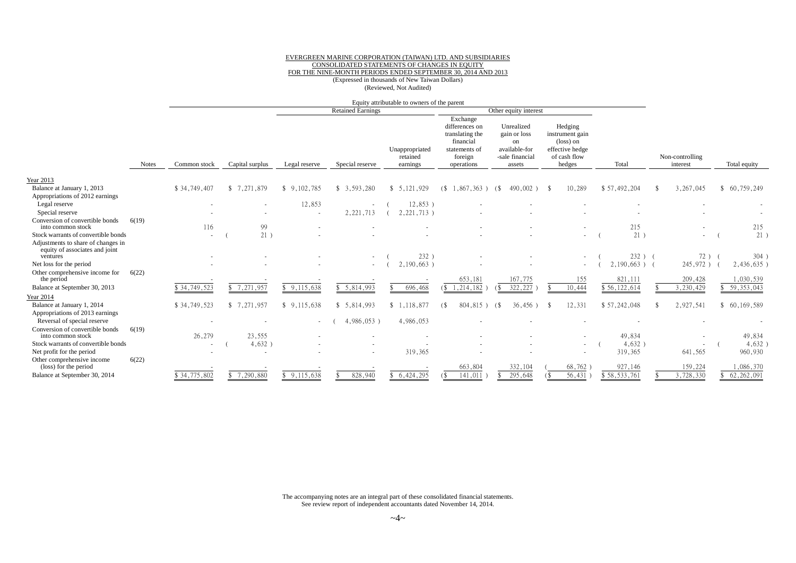#### EVERGREEN MARINE CORPORATION (TAIWAN) LTD. AND SUBSIDIARIES CONSOLIDATED STATEMENTS OF CHANGES IN EQUITY FOR THE NINE-MONTH PERIODS ENDED SEPTEMBER 30, 2014 AND 2013 (Expressed in thousands of New Taiwan Dollars) (Reviewed, Not Audited)

|                                                                                  |              |                          |                            |               |                          | Equity attributable to owners of the parent |                                                                                                      |                                                                                           |                                                                                               |                 |                             |              |
|----------------------------------------------------------------------------------|--------------|--------------------------|----------------------------|---------------|--------------------------|---------------------------------------------|------------------------------------------------------------------------------------------------------|-------------------------------------------------------------------------------------------|-----------------------------------------------------------------------------------------------|-----------------|-----------------------------|--------------|
|                                                                                  |              |                          |                            |               | <b>Retained Earnings</b> |                                             |                                                                                                      | Other equity interest                                                                     |                                                                                               |                 |                             |              |
|                                                                                  | <b>Notes</b> | Common stock             | Capital surplus            | Legal reserve | Special reserve          | Unappropriated<br>retained<br>earnings      | Exchange<br>differences on<br>translating the<br>financial<br>statements of<br>foreign<br>operations | Unrealized<br>gain or loss<br><sub>on</sub><br>available-for<br>-sale financial<br>assets | Hedging<br>instrument gain<br>$(\text{loss})$ on<br>effective hedge<br>of cash flow<br>hedges | Total           | Non-controlling<br>interest | Total equity |
| Year 2013                                                                        |              |                          |                            |               |                          |                                             |                                                                                                      |                                                                                           |                                                                                               |                 |                             |              |
| Balance at January 1, 2013                                                       |              | \$34,749,407             | \$7,271,879                | \$9,102,785   | \$3,593,280              | \$5,121,929                                 | 1,867<br>,363)<br>(S                                                                                 | 490,002)<br>(\$                                                                           | 10,289<br>- 85                                                                                | \$57,492,204    | 3,267,045                   | \$60,759,249 |
| Appropriations of 2012 earnings                                                  |              |                          |                            |               |                          |                                             |                                                                                                      |                                                                                           |                                                                                               |                 |                             |              |
| Legal reserve                                                                    |              |                          |                            | 12,853        |                          | 12,853)                                     |                                                                                                      |                                                                                           |                                                                                               |                 |                             |              |
| Special reserve<br>Conversion of convertible bonds                               | 6(19)        |                          |                            |               | 2, 221, 713              | 2,221,713)                                  |                                                                                                      |                                                                                           |                                                                                               |                 |                             |              |
| into common stock                                                                |              | 116                      | 99                         |               |                          |                                             |                                                                                                      |                                                                                           |                                                                                               | 215             |                             | 215          |
| Stock warrants of convertible bonds                                              |              |                          | 21)                        |               |                          |                                             |                                                                                                      |                                                                                           |                                                                                               | 21)             | $\sim$                      | 21)          |
| Adjustments to share of changes in<br>equity of associates and joint<br>ventures |              |                          |                            |               |                          | 232)                                        |                                                                                                      |                                                                                           |                                                                                               | $232$ ) (       | 72)                         | 304)         |
| Net loss for the period                                                          |              |                          |                            |               |                          | 2,190,663)                                  |                                                                                                      |                                                                                           |                                                                                               | $2,190,663$ ) ( | 245,972)                    | 2,436,635)   |
| Other comprehensive income for<br>the period                                     | 6(22)        |                          |                            |               |                          |                                             | 653,181                                                                                              | 167,775                                                                                   | 155                                                                                           | 821,111         | 209,428                     | ,030,539     |
| Balance at September 30, 2013                                                    |              | \$34,749,523             | $\overline{8}$ 7, 271, 957 | \$9,115,638   | \$5,814,993              | 696,468                                     | 1,214,182                                                                                            | 322,227<br>(                                                                              | 10,444                                                                                        | \$56,122,614    | 3,230,429                   | 59, 353, 043 |
| <b>Year 2014</b>                                                                 |              |                          |                            |               |                          |                                             |                                                                                                      |                                                                                           |                                                                                               |                 |                             |              |
| Balance at January 1, 2014                                                       |              | \$34,749,523             | \$7.271.957                | \$9,115,638   | \$5,814,993              | \$1.118.877                                 | 804,815)                                                                                             | $36,456$ )<br>(                                                                           | 12.331<br>-8                                                                                  | \$57,242,048    | 2,927,541                   | \$60.169.589 |
| Appropriations of 2013 earnings                                                  |              |                          |                            |               |                          |                                             |                                                                                                      |                                                                                           |                                                                                               |                 |                             |              |
| Reversal of special reserve<br>Conversion of convertible bonds                   | 6(19)        | $\overline{\phantom{a}}$ |                            |               | 4,986,053                | 4,986,053                                   |                                                                                                      |                                                                                           |                                                                                               |                 |                             |              |
| into common stock                                                                |              | 26,279                   | 23,555                     |               |                          |                                             |                                                                                                      |                                                                                           |                                                                                               | 49,834          |                             | 49,834       |
| Stock warrants of convertible bonds                                              |              | $\sim$                   | 4,632)                     |               |                          |                                             |                                                                                                      |                                                                                           |                                                                                               | $4,632$ )       |                             | $4,632$ )    |
| Net profit for the period                                                        |              |                          | $\overline{\phantom{a}}$   |               |                          | 319,365                                     |                                                                                                      |                                                                                           |                                                                                               | 319,365         | 641,565                     | 960,930      |
| Other comprehensive income<br>(loss) for the period                              | 6(22)        |                          |                            |               |                          |                                             | 663,804                                                                                              | 332,104                                                                                   | 68,762                                                                                        | 927,146         | 159,224                     | ,086,370     |
| Balance at September 30, 2014                                                    |              | \$34,775,802             | \$7,290,880                | \$9,115,638   | 828,940                  | \$6,424,295                                 | 141,011                                                                                              | 295,648                                                                                   | 56,431                                                                                        | \$58,533,761    | 3,728,330                   | 62, 262, 091 |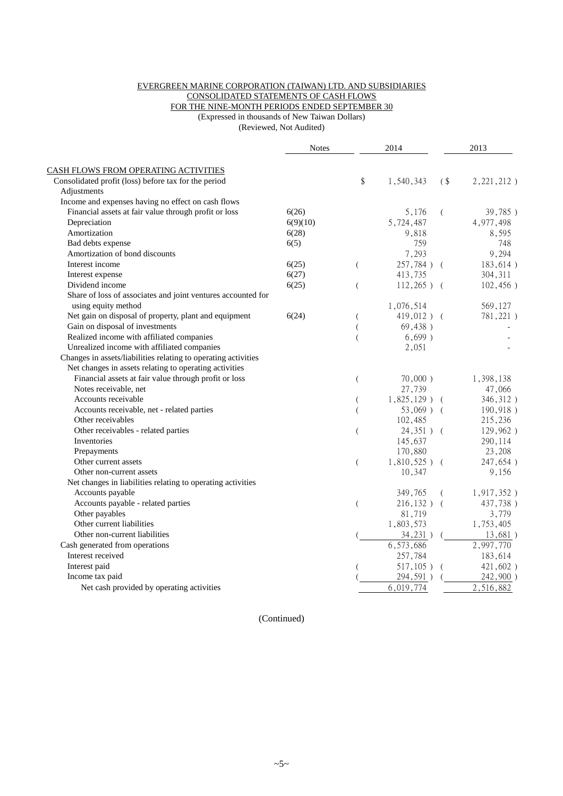## EVERGREEN MARINE CORPORATION (TAIWAN) LTD. AND SUBSIDIARIES CONSOLIDATED STATEMENTS OF CASH FLOWS FOR THE NINE-MONTH PERIODS ENDED SEPTEMBER 30

(Expressed in thousands of New Taiwan Dollars)

(Reviewed, Not Audited)

| <b>CASH FLOWS FROM OPERATING ACTIVITIES</b><br>\$<br>Consolidated profit (loss) before tax for the period<br>1,540,343<br>$($ \$<br>$2,221,212$ )<br>Adjustments<br>Income and expenses having no effect on cash flows<br>Financial assets at fair value through profit or loss<br>6(26)<br>5,176<br>39,785)<br>$\left($<br>Depreciation<br>5,724,487<br>6(9)(10)<br>4,977,498<br>Amortization<br>6(28)<br>8,595<br>9,818<br>Bad debts expense<br>6(5)<br>759<br>748<br>Amortization of bond discounts<br>7,293<br>9,294<br>257,784) (<br>183,614)<br>Interest income<br>6(25)<br>$\overline{(\ }$<br>6(27)<br>413,735<br>304, 311<br>Interest expense<br>Dividend income<br>6(25)<br>$112,265$ ) (<br>102,456)<br>$\overline{(}$<br>Share of loss of associates and joint ventures accounted for<br>using equity method<br>1,076,514<br>569,127<br>Net gain on disposal of property, plant and equipment<br>6(24)<br>$419,012$ ) (<br>781,221)<br>Gain on disposal of investments<br>69,438)<br>Realized income with affiliated companies<br>$6,699$ )<br>Unrealized income with affiliated companies<br>2,051<br>Changes in assets/liabilities relating to operating activities<br>Net changes in assets relating to operating activities<br>Financial assets at fair value through profit or loss<br>$70,000$ )<br>1,398,138<br>$\left($<br>27,739<br>Notes receivable, net<br>47,066<br>Accounts receivable<br>$1,825,129$ ) (<br>346,312)<br>(<br>Accounts receivable, net - related parties<br>$53,069$ ) (<br>190,918)<br>$\overline{(}$<br>Other receivables<br>102,485<br>215,236<br>Other receivables - related parties<br>$24,351$ ) (<br>129,962)<br>$\overline{(}$<br>Inventories<br>145,637<br>290,114<br>170,880<br>23,208<br>Prepayments<br>Other current assets<br>$1,810,525$ ) (<br>247,654)<br>$\overline{(\ }$<br>10,347<br>9,156<br>Other non-current assets<br>Net changes in liabilities relating to operating activities<br>Accounts payable<br>349,765<br>$1,917,352$ )<br>- (<br>Accounts payable - related parties<br>437,738)<br>$216,132$ ) (<br>$\overline{(\ }$<br>Other payables<br>3,779<br>81,719<br>Other current liabilities<br>1,753,405<br>1,803,573<br>Other non-current liabilities<br>34,231)<br>13,681)<br>6,573,686<br>2,997,770<br>Cash generated from operations<br>Interest received<br>257,784<br>183,614<br>Interest paid<br>$517,105$ )<br>421,602)<br>294,591)<br>242,900)<br>Income tax paid<br>Net cash provided by operating activities<br>6,019,774<br>2,516,882 | <b>Notes</b> | 2014 | 2013 |
|-------------------------------------------------------------------------------------------------------------------------------------------------------------------------------------------------------------------------------------------------------------------------------------------------------------------------------------------------------------------------------------------------------------------------------------------------------------------------------------------------------------------------------------------------------------------------------------------------------------------------------------------------------------------------------------------------------------------------------------------------------------------------------------------------------------------------------------------------------------------------------------------------------------------------------------------------------------------------------------------------------------------------------------------------------------------------------------------------------------------------------------------------------------------------------------------------------------------------------------------------------------------------------------------------------------------------------------------------------------------------------------------------------------------------------------------------------------------------------------------------------------------------------------------------------------------------------------------------------------------------------------------------------------------------------------------------------------------------------------------------------------------------------------------------------------------------------------------------------------------------------------------------------------------------------------------------------------------------------------------------------------------------------------------------------------------------------------------------------------------------------------------------------------------------------------------------------------------------------------------------------------------------------------------------------------------------------------------------------------------------------------------------------------------------------------------------------------------------------------------------------------------------|--------------|------|------|
|                                                                                                                                                                                                                                                                                                                                                                                                                                                                                                                                                                                                                                                                                                                                                                                                                                                                                                                                                                                                                                                                                                                                                                                                                                                                                                                                                                                                                                                                                                                                                                                                                                                                                                                                                                                                                                                                                                                                                                                                                                                                                                                                                                                                                                                                                                                                                                                                                                                                                                                         |              |      |      |
|                                                                                                                                                                                                                                                                                                                                                                                                                                                                                                                                                                                                                                                                                                                                                                                                                                                                                                                                                                                                                                                                                                                                                                                                                                                                                                                                                                                                                                                                                                                                                                                                                                                                                                                                                                                                                                                                                                                                                                                                                                                                                                                                                                                                                                                                                                                                                                                                                                                                                                                         |              |      |      |
|                                                                                                                                                                                                                                                                                                                                                                                                                                                                                                                                                                                                                                                                                                                                                                                                                                                                                                                                                                                                                                                                                                                                                                                                                                                                                                                                                                                                                                                                                                                                                                                                                                                                                                                                                                                                                                                                                                                                                                                                                                                                                                                                                                                                                                                                                                                                                                                                                                                                                                                         |              |      |      |
|                                                                                                                                                                                                                                                                                                                                                                                                                                                                                                                                                                                                                                                                                                                                                                                                                                                                                                                                                                                                                                                                                                                                                                                                                                                                                                                                                                                                                                                                                                                                                                                                                                                                                                                                                                                                                                                                                                                                                                                                                                                                                                                                                                                                                                                                                                                                                                                                                                                                                                                         |              |      |      |
|                                                                                                                                                                                                                                                                                                                                                                                                                                                                                                                                                                                                                                                                                                                                                                                                                                                                                                                                                                                                                                                                                                                                                                                                                                                                                                                                                                                                                                                                                                                                                                                                                                                                                                                                                                                                                                                                                                                                                                                                                                                                                                                                                                                                                                                                                                                                                                                                                                                                                                                         |              |      |      |
|                                                                                                                                                                                                                                                                                                                                                                                                                                                                                                                                                                                                                                                                                                                                                                                                                                                                                                                                                                                                                                                                                                                                                                                                                                                                                                                                                                                                                                                                                                                                                                                                                                                                                                                                                                                                                                                                                                                                                                                                                                                                                                                                                                                                                                                                                                                                                                                                                                                                                                                         |              |      |      |
|                                                                                                                                                                                                                                                                                                                                                                                                                                                                                                                                                                                                                                                                                                                                                                                                                                                                                                                                                                                                                                                                                                                                                                                                                                                                                                                                                                                                                                                                                                                                                                                                                                                                                                                                                                                                                                                                                                                                                                                                                                                                                                                                                                                                                                                                                                                                                                                                                                                                                                                         |              |      |      |
|                                                                                                                                                                                                                                                                                                                                                                                                                                                                                                                                                                                                                                                                                                                                                                                                                                                                                                                                                                                                                                                                                                                                                                                                                                                                                                                                                                                                                                                                                                                                                                                                                                                                                                                                                                                                                                                                                                                                                                                                                                                                                                                                                                                                                                                                                                                                                                                                                                                                                                                         |              |      |      |
|                                                                                                                                                                                                                                                                                                                                                                                                                                                                                                                                                                                                                                                                                                                                                                                                                                                                                                                                                                                                                                                                                                                                                                                                                                                                                                                                                                                                                                                                                                                                                                                                                                                                                                                                                                                                                                                                                                                                                                                                                                                                                                                                                                                                                                                                                                                                                                                                                                                                                                                         |              |      |      |
|                                                                                                                                                                                                                                                                                                                                                                                                                                                                                                                                                                                                                                                                                                                                                                                                                                                                                                                                                                                                                                                                                                                                                                                                                                                                                                                                                                                                                                                                                                                                                                                                                                                                                                                                                                                                                                                                                                                                                                                                                                                                                                                                                                                                                                                                                                                                                                                                                                                                                                                         |              |      |      |
|                                                                                                                                                                                                                                                                                                                                                                                                                                                                                                                                                                                                                                                                                                                                                                                                                                                                                                                                                                                                                                                                                                                                                                                                                                                                                                                                                                                                                                                                                                                                                                                                                                                                                                                                                                                                                                                                                                                                                                                                                                                                                                                                                                                                                                                                                                                                                                                                                                                                                                                         |              |      |      |
|                                                                                                                                                                                                                                                                                                                                                                                                                                                                                                                                                                                                                                                                                                                                                                                                                                                                                                                                                                                                                                                                                                                                                                                                                                                                                                                                                                                                                                                                                                                                                                                                                                                                                                                                                                                                                                                                                                                                                                                                                                                                                                                                                                                                                                                                                                                                                                                                                                                                                                                         |              |      |      |
|                                                                                                                                                                                                                                                                                                                                                                                                                                                                                                                                                                                                                                                                                                                                                                                                                                                                                                                                                                                                                                                                                                                                                                                                                                                                                                                                                                                                                                                                                                                                                                                                                                                                                                                                                                                                                                                                                                                                                                                                                                                                                                                                                                                                                                                                                                                                                                                                                                                                                                                         |              |      |      |
|                                                                                                                                                                                                                                                                                                                                                                                                                                                                                                                                                                                                                                                                                                                                                                                                                                                                                                                                                                                                                                                                                                                                                                                                                                                                                                                                                                                                                                                                                                                                                                                                                                                                                                                                                                                                                                                                                                                                                                                                                                                                                                                                                                                                                                                                                                                                                                                                                                                                                                                         |              |      |      |
|                                                                                                                                                                                                                                                                                                                                                                                                                                                                                                                                                                                                                                                                                                                                                                                                                                                                                                                                                                                                                                                                                                                                                                                                                                                                                                                                                                                                                                                                                                                                                                                                                                                                                                                                                                                                                                                                                                                                                                                                                                                                                                                                                                                                                                                                                                                                                                                                                                                                                                                         |              |      |      |
|                                                                                                                                                                                                                                                                                                                                                                                                                                                                                                                                                                                                                                                                                                                                                                                                                                                                                                                                                                                                                                                                                                                                                                                                                                                                                                                                                                                                                                                                                                                                                                                                                                                                                                                                                                                                                                                                                                                                                                                                                                                                                                                                                                                                                                                                                                                                                                                                                                                                                                                         |              |      |      |
|                                                                                                                                                                                                                                                                                                                                                                                                                                                                                                                                                                                                                                                                                                                                                                                                                                                                                                                                                                                                                                                                                                                                                                                                                                                                                                                                                                                                                                                                                                                                                                                                                                                                                                                                                                                                                                                                                                                                                                                                                                                                                                                                                                                                                                                                                                                                                                                                                                                                                                                         |              |      |      |
|                                                                                                                                                                                                                                                                                                                                                                                                                                                                                                                                                                                                                                                                                                                                                                                                                                                                                                                                                                                                                                                                                                                                                                                                                                                                                                                                                                                                                                                                                                                                                                                                                                                                                                                                                                                                                                                                                                                                                                                                                                                                                                                                                                                                                                                                                                                                                                                                                                                                                                                         |              |      |      |
|                                                                                                                                                                                                                                                                                                                                                                                                                                                                                                                                                                                                                                                                                                                                                                                                                                                                                                                                                                                                                                                                                                                                                                                                                                                                                                                                                                                                                                                                                                                                                                                                                                                                                                                                                                                                                                                                                                                                                                                                                                                                                                                                                                                                                                                                                                                                                                                                                                                                                                                         |              |      |      |
|                                                                                                                                                                                                                                                                                                                                                                                                                                                                                                                                                                                                                                                                                                                                                                                                                                                                                                                                                                                                                                                                                                                                                                                                                                                                                                                                                                                                                                                                                                                                                                                                                                                                                                                                                                                                                                                                                                                                                                                                                                                                                                                                                                                                                                                                                                                                                                                                                                                                                                                         |              |      |      |
|                                                                                                                                                                                                                                                                                                                                                                                                                                                                                                                                                                                                                                                                                                                                                                                                                                                                                                                                                                                                                                                                                                                                                                                                                                                                                                                                                                                                                                                                                                                                                                                                                                                                                                                                                                                                                                                                                                                                                                                                                                                                                                                                                                                                                                                                                                                                                                                                                                                                                                                         |              |      |      |
|                                                                                                                                                                                                                                                                                                                                                                                                                                                                                                                                                                                                                                                                                                                                                                                                                                                                                                                                                                                                                                                                                                                                                                                                                                                                                                                                                                                                                                                                                                                                                                                                                                                                                                                                                                                                                                                                                                                                                                                                                                                                                                                                                                                                                                                                                                                                                                                                                                                                                                                         |              |      |      |
|                                                                                                                                                                                                                                                                                                                                                                                                                                                                                                                                                                                                                                                                                                                                                                                                                                                                                                                                                                                                                                                                                                                                                                                                                                                                                                                                                                                                                                                                                                                                                                                                                                                                                                                                                                                                                                                                                                                                                                                                                                                                                                                                                                                                                                                                                                                                                                                                                                                                                                                         |              |      |      |
|                                                                                                                                                                                                                                                                                                                                                                                                                                                                                                                                                                                                                                                                                                                                                                                                                                                                                                                                                                                                                                                                                                                                                                                                                                                                                                                                                                                                                                                                                                                                                                                                                                                                                                                                                                                                                                                                                                                                                                                                                                                                                                                                                                                                                                                                                                                                                                                                                                                                                                                         |              |      |      |
|                                                                                                                                                                                                                                                                                                                                                                                                                                                                                                                                                                                                                                                                                                                                                                                                                                                                                                                                                                                                                                                                                                                                                                                                                                                                                                                                                                                                                                                                                                                                                                                                                                                                                                                                                                                                                                                                                                                                                                                                                                                                                                                                                                                                                                                                                                                                                                                                                                                                                                                         |              |      |      |
|                                                                                                                                                                                                                                                                                                                                                                                                                                                                                                                                                                                                                                                                                                                                                                                                                                                                                                                                                                                                                                                                                                                                                                                                                                                                                                                                                                                                                                                                                                                                                                                                                                                                                                                                                                                                                                                                                                                                                                                                                                                                                                                                                                                                                                                                                                                                                                                                                                                                                                                         |              |      |      |
|                                                                                                                                                                                                                                                                                                                                                                                                                                                                                                                                                                                                                                                                                                                                                                                                                                                                                                                                                                                                                                                                                                                                                                                                                                                                                                                                                                                                                                                                                                                                                                                                                                                                                                                                                                                                                                                                                                                                                                                                                                                                                                                                                                                                                                                                                                                                                                                                                                                                                                                         |              |      |      |
|                                                                                                                                                                                                                                                                                                                                                                                                                                                                                                                                                                                                                                                                                                                                                                                                                                                                                                                                                                                                                                                                                                                                                                                                                                                                                                                                                                                                                                                                                                                                                                                                                                                                                                                                                                                                                                                                                                                                                                                                                                                                                                                                                                                                                                                                                                                                                                                                                                                                                                                         |              |      |      |
|                                                                                                                                                                                                                                                                                                                                                                                                                                                                                                                                                                                                                                                                                                                                                                                                                                                                                                                                                                                                                                                                                                                                                                                                                                                                                                                                                                                                                                                                                                                                                                                                                                                                                                                                                                                                                                                                                                                                                                                                                                                                                                                                                                                                                                                                                                                                                                                                                                                                                                                         |              |      |      |
|                                                                                                                                                                                                                                                                                                                                                                                                                                                                                                                                                                                                                                                                                                                                                                                                                                                                                                                                                                                                                                                                                                                                                                                                                                                                                                                                                                                                                                                                                                                                                                                                                                                                                                                                                                                                                                                                                                                                                                                                                                                                                                                                                                                                                                                                                                                                                                                                                                                                                                                         |              |      |      |
|                                                                                                                                                                                                                                                                                                                                                                                                                                                                                                                                                                                                                                                                                                                                                                                                                                                                                                                                                                                                                                                                                                                                                                                                                                                                                                                                                                                                                                                                                                                                                                                                                                                                                                                                                                                                                                                                                                                                                                                                                                                                                                                                                                                                                                                                                                                                                                                                                                                                                                                         |              |      |      |
|                                                                                                                                                                                                                                                                                                                                                                                                                                                                                                                                                                                                                                                                                                                                                                                                                                                                                                                                                                                                                                                                                                                                                                                                                                                                                                                                                                                                                                                                                                                                                                                                                                                                                                                                                                                                                                                                                                                                                                                                                                                                                                                                                                                                                                                                                                                                                                                                                                                                                                                         |              |      |      |
|                                                                                                                                                                                                                                                                                                                                                                                                                                                                                                                                                                                                                                                                                                                                                                                                                                                                                                                                                                                                                                                                                                                                                                                                                                                                                                                                                                                                                                                                                                                                                                                                                                                                                                                                                                                                                                                                                                                                                                                                                                                                                                                                                                                                                                                                                                                                                                                                                                                                                                                         |              |      |      |
|                                                                                                                                                                                                                                                                                                                                                                                                                                                                                                                                                                                                                                                                                                                                                                                                                                                                                                                                                                                                                                                                                                                                                                                                                                                                                                                                                                                                                                                                                                                                                                                                                                                                                                                                                                                                                                                                                                                                                                                                                                                                                                                                                                                                                                                                                                                                                                                                                                                                                                                         |              |      |      |
|                                                                                                                                                                                                                                                                                                                                                                                                                                                                                                                                                                                                                                                                                                                                                                                                                                                                                                                                                                                                                                                                                                                                                                                                                                                                                                                                                                                                                                                                                                                                                                                                                                                                                                                                                                                                                                                                                                                                                                                                                                                                                                                                                                                                                                                                                                                                                                                                                                                                                                                         |              |      |      |
|                                                                                                                                                                                                                                                                                                                                                                                                                                                                                                                                                                                                                                                                                                                                                                                                                                                                                                                                                                                                                                                                                                                                                                                                                                                                                                                                                                                                                                                                                                                                                                                                                                                                                                                                                                                                                                                                                                                                                                                                                                                                                                                                                                                                                                                                                                                                                                                                                                                                                                                         |              |      |      |
|                                                                                                                                                                                                                                                                                                                                                                                                                                                                                                                                                                                                                                                                                                                                                                                                                                                                                                                                                                                                                                                                                                                                                                                                                                                                                                                                                                                                                                                                                                                                                                                                                                                                                                                                                                                                                                                                                                                                                                                                                                                                                                                                                                                                                                                                                                                                                                                                                                                                                                                         |              |      |      |
|                                                                                                                                                                                                                                                                                                                                                                                                                                                                                                                                                                                                                                                                                                                                                                                                                                                                                                                                                                                                                                                                                                                                                                                                                                                                                                                                                                                                                                                                                                                                                                                                                                                                                                                                                                                                                                                                                                                                                                                                                                                                                                                                                                                                                                                                                                                                                                                                                                                                                                                         |              |      |      |
|                                                                                                                                                                                                                                                                                                                                                                                                                                                                                                                                                                                                                                                                                                                                                                                                                                                                                                                                                                                                                                                                                                                                                                                                                                                                                                                                                                                                                                                                                                                                                                                                                                                                                                                                                                                                                                                                                                                                                                                                                                                                                                                                                                                                                                                                                                                                                                                                                                                                                                                         |              |      |      |
|                                                                                                                                                                                                                                                                                                                                                                                                                                                                                                                                                                                                                                                                                                                                                                                                                                                                                                                                                                                                                                                                                                                                                                                                                                                                                                                                                                                                                                                                                                                                                                                                                                                                                                                                                                                                                                                                                                                                                                                                                                                                                                                                                                                                                                                                                                                                                                                                                                                                                                                         |              |      |      |
|                                                                                                                                                                                                                                                                                                                                                                                                                                                                                                                                                                                                                                                                                                                                                                                                                                                                                                                                                                                                                                                                                                                                                                                                                                                                                                                                                                                                                                                                                                                                                                                                                                                                                                                                                                                                                                                                                                                                                                                                                                                                                                                                                                                                                                                                                                                                                                                                                                                                                                                         |              |      |      |

(Continued)